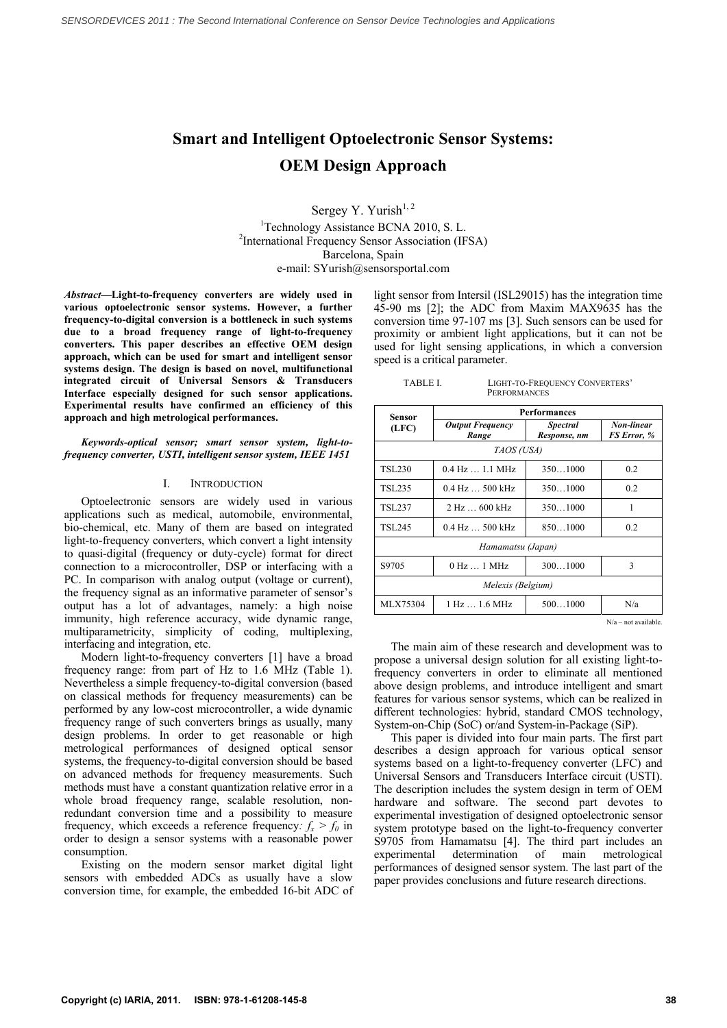# **Smart and Intelligent Optoelectronic Sensor Systems: OEM Design Approach**

Sergey Y. Yurish $^{1, 2}$ 

<sup>1</sup>Technology Assistance BCNA 2010, S. L. <sup>2</sup>International Frequency Sensor Association (IFSA) Barcelona, Spain e-mail: SYurish@sensorsportal.com

*Abstract***—Light-to-frequency converters are widely used in various optoelectronic sensor systems. However, a further frequency-to-digital conversion is a bottleneck in such systems due to a broad frequency range of light-to-frequency converters. This paper describes an effective OEM design approach, which can be used for smart and intelligent sensor systems design. The design is based on novel, multifunctional integrated circuit of Universal Sensors & Transducers Interface especially designed for such sensor applications. Experimental results have confirmed an efficiency of this approach and high metrological performances.** 

## *Keywords-optical sensor; smart sensor system, light-tofrequency converter, USTI, intelligent sensor system, IEEE 1451*

# I. INTRODUCTION

Optoelectronic sensors are widely used in various applications such as medical, automobile, environmental, bio-chemical, etc. Many of them are based on integrated light-to-frequency converters, which convert a light intensity to quasi-digital (frequency or duty-cycle) format for direct connection to a microcontroller, DSP or interfacing with a PC. In comparison with analog output (voltage or current), the frequency signal as an informative parameter of sensor's output has a lot of advantages, namely: a high noise immunity, high reference accuracy, wide dynamic range, multiparametricity, simplicity of coding, multiplexing, interfacing and integration, etc.

Modern light-to-frequency converters [1] have a broad frequency range: from part of Hz to 1.6 MHz (Table 1). Nevertheless a simple frequency-to-digital conversion (based on classical methods for frequency measurements) can be performed by any low-cost microcontroller, a wide dynamic frequency range of such converters brings as usually, many design problems. In order to get reasonable or high metrological performances of designed optical sensor systems, the frequency-to-digital conversion should be based on advanced methods for frequency measurements. Such methods must have a constant quantization relative error in a whole broad frequency range, scalable resolution, nonredundant conversion time and a possibility to measure frequency, which exceeds a reference frequency:  $f_x > f_0$  in order to design a sensor systems with a reasonable power consumption.

Existing on the modern sensor market digital light sensors with embedded ADCs as usually have a slow conversion time, for example, the embedded 16-bit ADC of light sensor from Intersil (ISL29015) has the integration time 45-90 ms [2]; the ADC from Maxim MAX9635 has the conversion time 97-107 ms [3]. Such sensors can be used for proximity or ambient light applications, but it can not be used for light sensing applications, in which a conversion speed is a critical parameter.

TABLE I. LIGHT-TO-FREQUENCY CONVERTERS' **PERFORMANCES** 

| <b>Performances</b>              |                                 |                                  |  |  |  |
|----------------------------------|---------------------------------|----------------------------------|--|--|--|
| <b>Output Frequency</b><br>Range | <b>Spectral</b><br>Response, nm | Non-linear<br><b>FS Error, %</b> |  |  |  |
| TAOS (USA)                       |                                 |                                  |  |  |  |
| $0.4$ Hz $\dots$ 1.1 MHz         | 3501000                         | 0.2                              |  |  |  |
| $0.4$ Hz $\dots$ 500 kHz         | 3501000                         | 0.2                              |  |  |  |
| $2 \text{ Hz}$ 600 kHz           | $350 - 1000$                    | 1                                |  |  |  |
| $0.4 \text{ Hz}$ 500 kHz         | 850.0000                        | 0.2                              |  |  |  |
| Hamamatsu (Japan)                |                                 |                                  |  |  |  |
| $0$ Hz $\dots$ 1 MHz             | 3001000                         | 3                                |  |  |  |
| Melexis (Belgium)                |                                 |                                  |  |  |  |
| 1 Hz  1.6 MHz                    | 5001000                         | N/a                              |  |  |  |
|                                  |                                 |                                  |  |  |  |

N/a – not available.

The main aim of these research and development was to propose a universal design solution for all existing light-tofrequency converters in order to eliminate all mentioned above design problems, and introduce intelligent and smart features for various sensor systems, which can be realized in different technologies: hybrid, standard CMOS technology, System-on-Chip (SoC) or/and System-in-Package (SiP).

This paper is divided into four main parts. The first part describes a design approach for various optical sensor systems based on a light-to-frequency converter (LFC) and Universal Sensors and Transducers Interface circuit (USTI). The description includes the system design in term of OEM hardware and software. The second part devotes to experimental investigation of designed optoelectronic sensor system prototype based on the light-to-frequency converter S9705 from Hamamatsu [4]. The third part includes an experimental determination of main metrological determination of main metrological performances of designed sensor system. The last part of the paper provides conclusions and future research directions.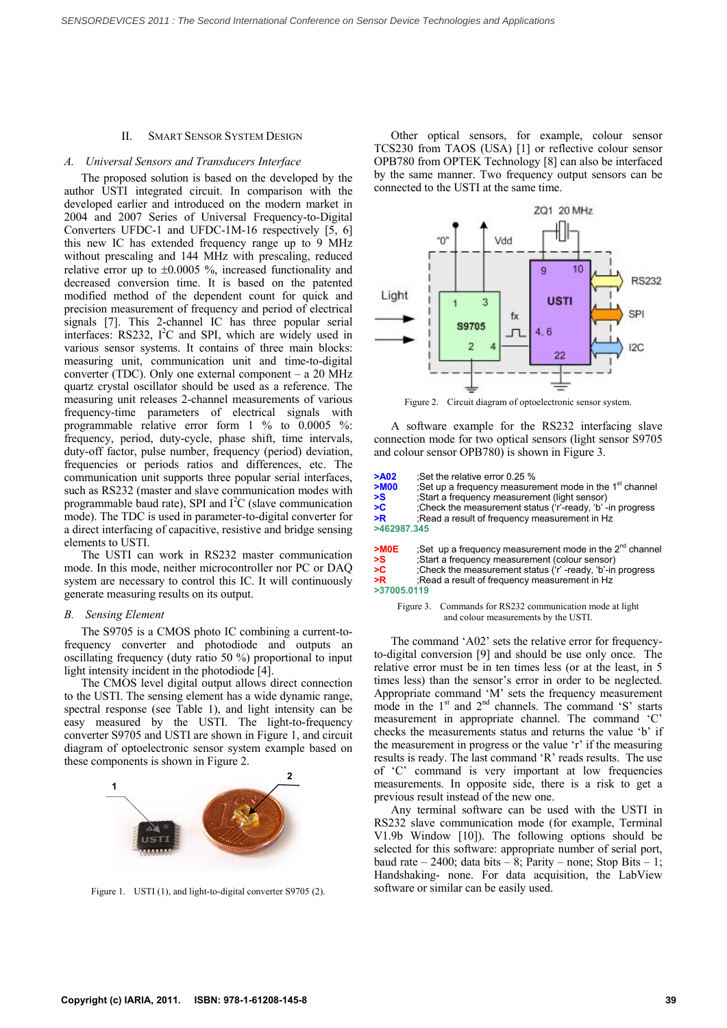#### II. SMART SENSOR SYSTEM DESIGN

## *A. Universal Sensors and Transducers Interface*

The proposed solution is based on the developed by the author USTI integrated circuit. In comparison with the developed earlier and introduced on the modern market in 2004 and 2007 Series of Universal Frequency-to-Digital Converters UFDC-1 and UFDC-1M-16 respectively [5, 6] this new IC has extended frequency range up to 9 MHz without prescaling and 144 MHz with prescaling, reduced relative error up to  $\pm 0.0005$  %, increased functionality and decreased conversion time. It is based on the patented modified method of the dependent count for quick and precision measurement of frequency and period of electrical signals [7]. This 2-channel IC has three popular serial interfaces: RS232, I<sup>2</sup>C and SPI, which are widely used in various sensor systems. It contains of three main blocks: measuring unit, communication unit and time-to-digital converter (TDC). Only one external component – a 20 MHz quartz crystal oscillator should be used as a reference. The measuring unit releases 2-channel measurements of various frequency-time parameters of electrical signals with programmable relative error form 1 % to 0.0005 %: frequency, period, duty-cycle, phase shift, time intervals, duty-off factor, pulse number, frequency (period) deviation, frequencies or periods ratios and differences, etc. The communication unit supports three popular serial interfaces, such as RS232 (master and slave communication modes with programmable baud rate), SPI and  $I<sup>2</sup>C$  (slave communication mode). The TDC is used in parameter-to-digital converter for a direct interfacing of capacitive, resistive and bridge sensing elements to USTI.

The USTI can work in RS232 master communication mode. In this mode, neither microcontroller nor PC or DAQ system are necessary to control this IC. It will continuously generate measuring results on its output.

### *B. Sensing Element*

The S9705 is a CMOS photo IC combining a current-tofrequency converter and photodiode and outputs an oscillating frequency (duty ratio 50 %) proportional to input light intensity incident in the photodiode [4].

The CMOS level digital output allows direct connection to the USTI. The sensing element has a wide dynamic range, spectral response (see Table 1), and light intensity can be easy measured by the USTI. The light-to-frequency converter S9705 and USTI are shown in Figure 1, and circuit diagram of optoelectronic sensor system example based on these components is shown in Figure 2.



Figure 1. USTI (1), and light-to-digital converter S9705 (2).

Other optical sensors, for example, colour sensor TCS230 from TAOS (USA) [1] or reflective colour sensor OPB780 from OPTEK Technology [8] can also be interfaced by the same manner. Two frequency output sensors can be connected to the USTI at the same time.



Figure 2. Circuit diagram of optoelectronic sensor system.

A software example for the RS232 interfacing slave connection mode for two optical sensors (light sensor S9705 and colour sensor OPB780) is shown in Figure 3.

| >A02<br>$>$ M00<br>>S<br>>C<br>>R<br>>462987.345 | :Set the relative error $0.25\%$<br>Set up a frequency measurement mode in the 1 <sup>st</sup> channel<br>:Start a frequency measurement (light sensor)<br>:Check the measurement status ('r'-ready, 'b' -in progress<br>Read a result of frequency measurement in Hz |
|--------------------------------------------------|-----------------------------------------------------------------------------------------------------------------------------------------------------------------------------------------------------------------------------------------------------------------------|
| $>$ MOE                                          | ;Set up a frequency measurement mode in the 2 <sup>nd</sup> channel                                                                                                                                                                                                   |
| >S                                               | :Start a frequency measurement (colour sensor)                                                                                                                                                                                                                        |
| >C                                               | :Check the measurement status ('r' -ready, 'b'-in progress                                                                                                                                                                                                            |
| -n                                               | $\Gamma$                                                                                                                                                                                                                                                              |

| 고나          | Check the measurement status ( r -ready, b -in progress); |  |  |  |
|-------------|-----------------------------------------------------------|--|--|--|
| $>$ R       | :Read a result of frequency measurement in Hz             |  |  |  |
| >37005.0119 |                                                           |  |  |  |
|             |                                                           |  |  |  |

Figure 3. Commands for RS232 communication mode at light and colour measurements by the USTI.

The command 'A02' sets the relative error for frequencyto-digital conversion [9] and should be use only once. The relative error must be in ten times less (or at the least, in 5 times less) than the sensor's error in order to be neglected. Appropriate command 'M' sets the frequency measurement mode in the 1<sup>st</sup> and 2<sup>nd</sup> channels. The command 'S' starts measurement in appropriate channel. The command 'C checks the measurements status and returns the value 'b' if the measurement in progress or the value 'r' if the measuring results is ready. The last command 'R' reads results. The use of 'C' command is very important at low frequencies measurements. In opposite side, there is a risk to get a previous result instead of the new one.

Any terminal software can be used with the USTI in RS232 slave communication mode (for example, Terminal V1.9b Window [10]). The following options should be selected for this software: appropriate number of serial port, baud rate – 2400; data bits – 8; Parity – none; Stop Bits – 1; Handshaking- none. For data acquisition, the LabView software or similar can be easily used.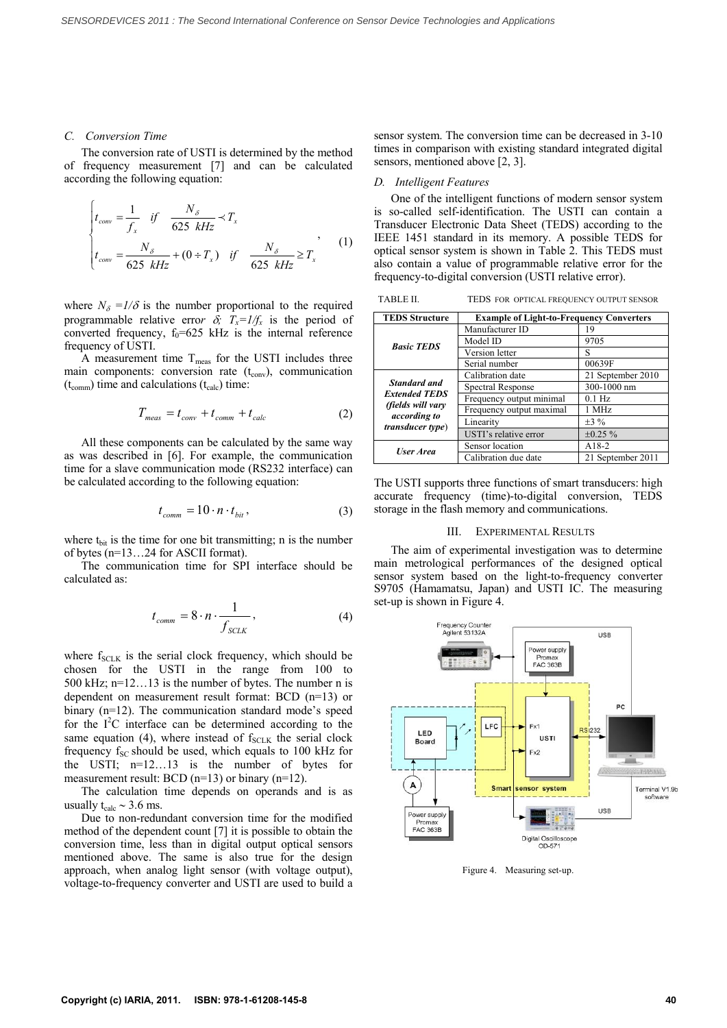#### *C. Conversion Time*

The conversion rate of USTI is determined by the method of frequency measurement [7] and can be calculated according the following equation:

$$
\begin{cases}\nt_{conv} = \frac{1}{f_x} & \text{if } \frac{N_\delta}{625 \text{ kHz}} \prec T_x \\
t_{conv} = \frac{N_\delta}{625 \text{ kHz}} + (0 \div T_x) & \text{if } \frac{N_\delta}{625 \text{ kHz}} \ge T_x\n\end{cases}
$$
\n(1)

where  $N_{\delta} = 1/\delta$  is the number proportional to the required programmable relative error  $\delta$ ;  $T_x = I/f_x$  is the period of converted frequency,  $f_0=625$  kHz is the internal reference frequency of USTI.

A measurement time  $T_{meas}$  for the USTI includes three main components: conversion rate  $(t_{\text{conv}})$ , communication  $(t_{\text{comm}})$  time and calculations  $(t_{\text{calc}})$  time:

$$
T_{meas} = t_{conv} + t_{comm} + t_{calc}
$$
 (2)

All these components can be calculated by the same way as was described in [6]. For example, the communication time for a slave communication mode (RS232 interface) can be calculated according to the following equation:

$$
t_{comm} = 10 \cdot n \cdot t_{bit},\tag{3}
$$

where  $t_{\text{bit}}$  is the time for one bit transmitting; n is the number of bytes (n=13…24 for ASCII format).

The communication time for SPI interface should be calculated as:

$$
t_{comm} = 8 \cdot n \cdot \frac{1}{f_{SCLK}},\tag{4}
$$

where  $f_{SCLK}$  is the serial clock frequency, which should be chosen for the USTI in the range from 100 to 500 kHz; n=12…13 is the number of bytes. The number n is dependent on measurement result format: BCD (n=13) or binary (n=12). The communication standard mode's speed for the I<sup>2</sup>C interface can be determined according to the same equation (4), where instead of  $f_{SCLK}$  the serial clock frequency  $f_{SC}$  should be used, which equals to 100 kHz for the USTI; n=12…13 is the number of bytes for measurement result: BCD (n=13) or binary (n=12).

The calculation time depends on operands and is as usually  $t_{calc} \sim 3.6$  ms.

Due to non-redundant conversion time for the modified method of the dependent count [7] it is possible to obtain the conversion time, less than in digital output optical sensors mentioned above. The same is also true for the design approach, when analog light sensor (with voltage output), voltage-to-frequency converter and USTI are used to build a

sensor system. The conversion time can be decreased in 3-10 times in comparison with existing standard integrated digital sensors, mentioned above [2, 3].

# *D. Intelligent Features*

One of the intelligent functions of modern sensor system is so-called self-identification. The USTI can contain a Transducer Electronic Data Sheet (TEDS) according to the IEEE 1451 standard in its memory. A possible TEDS for optical sensor system is shown in Table 2. This TEDS must also contain a value of programmable relative error for the frequency-to-digital conversion (USTI relative error).

TABLE II. TEDS FOR OPTICAL FREQUENCY OUTPUT SENSOR

| <b>TEDS Structure</b>                                                                                 | <b>Example of Light-to-Frequency Converters</b> |                   |
|-------------------------------------------------------------------------------------------------------|-------------------------------------------------|-------------------|
| <b>Basic TEDS</b>                                                                                     | Manufacturer ID                                 | 19                |
|                                                                                                       | Model ID                                        | 9705              |
|                                                                                                       | Version letter                                  | S                 |
|                                                                                                       | Serial number                                   | 00639F            |
| Standard and<br><b>Extended TEDS</b><br>(fields will vary<br>according to<br><i>transducer type</i> ) | Calibration date                                | 21 September 2010 |
|                                                                                                       | Spectral Response                               | 300-1000 nm       |
|                                                                                                       | Frequency output minimal                        | $0.1$ Hz          |
|                                                                                                       | Frequency output maximal                        | 1 MHz             |
|                                                                                                       | Linearity                                       | $\pm 3\%$         |
|                                                                                                       | USTI's relative error                           | $\pm 0.25 \%$     |
| <b>User Area</b>                                                                                      | Sensor location                                 | $A18-2$           |
|                                                                                                       | Calibration due date                            | 21 September 2011 |

The USTI supports three functions of smart transducers: high accurate frequency (time)-to-digital conversion, TEDS storage in the flash memory and communications.

## III. EXPERIMENTAL RESULTS

The aim of experimental investigation was to determine main metrological performances of the designed optical sensor system based on the light-to-frequency converter S9705 (Hamamatsu, Japan) and USTI IC. The measuring set-up is shown in Figure 4.



Figure 4. Measuring set-up.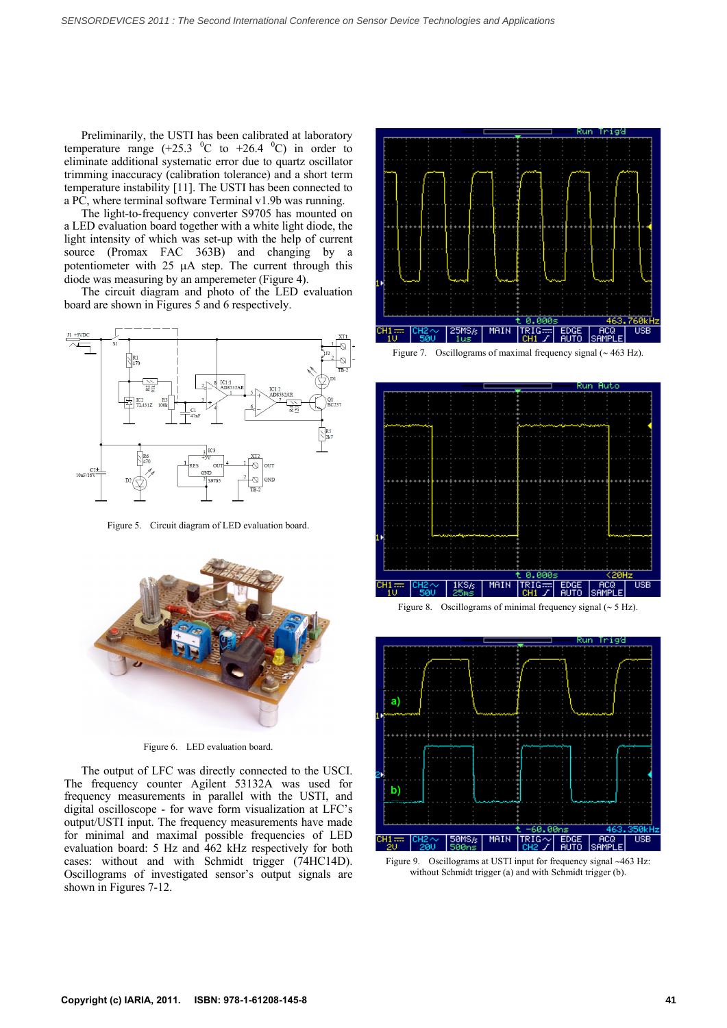Preliminarily, the USTI has been calibrated at laboratory temperature range  $(+25.3 \text{ °C}$  to  $+26.4 \text{ °C})$  in order to eliminate additional systematic error due to quartz oscillator trimming inaccuracy (calibration tolerance) and a short term temperature instability [11]. The USTI has been connected to a PC, where terminal software Terminal v1.9b was running.

The light-to-frequency converter S9705 has mounted on a LED evaluation board together with a white light diode, the light intensity of which was set-up with the help of current source (Promax FAC 363B) and changing by a potentiometer with  $25 \mu A$  step. The current through this diode was measuring by an amperemeter (Figure 4).

The circuit diagram and photo of the LED evaluation board are shown in Figures 5 and 6 respectively.



Figure 5. Circuit diagram of LED evaluation board.



Figure 6. LED evaluation board.

The output of LFC was directly connected to the USCI. The frequency counter Agilent 53132A was used for frequency measurements in parallel with the USTI, and digital oscilloscope - for wave form visualization at LFC's output/USTI input. The frequency measurements have made for minimal and maximal possible frequencies of LED evaluation board: 5 Hz and 462 kHz respectively for both cases: without and with Schmidt trigger (74HC14D). Oscillograms of investigated sensor's output signals are shown in Figures 7-12.



Figure 7. Oscillograms of maximal frequency signal  $({\sim} 463 \text{ Hz})$ .



Figure 8. Oscillograms of minimal frequency signal  $({\sim} 5 \text{ Hz})$ .



Figure 9. Oscillograms at USTI input for frequency signal ~463 Hz: without Schmidt trigger (a) and with Schmidt trigger (b).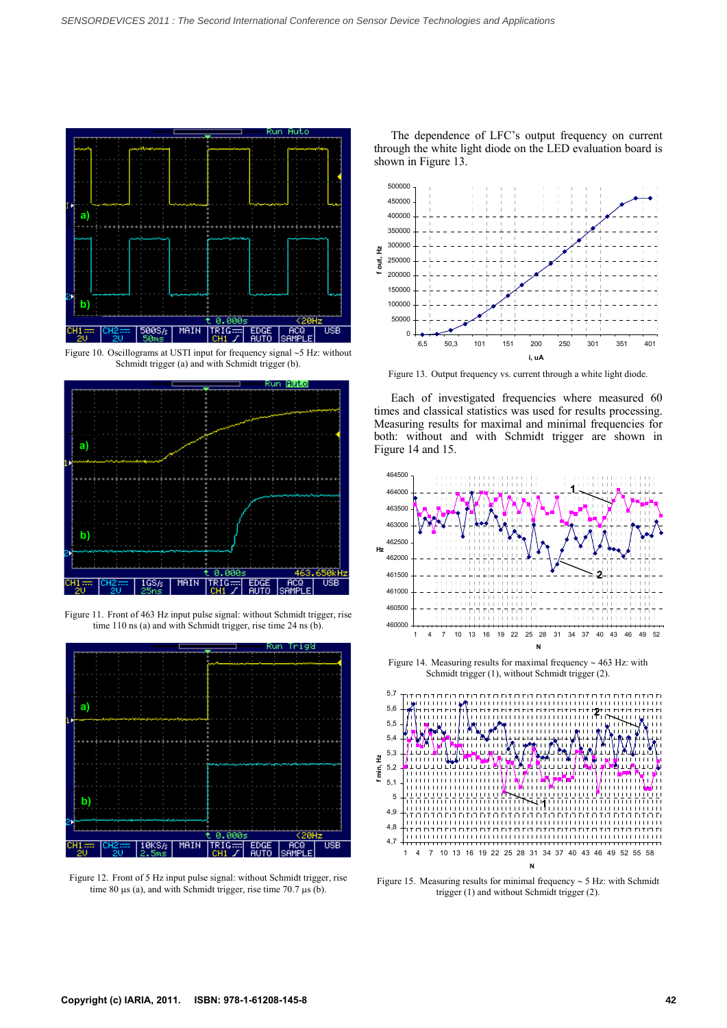

Figure 10. Oscillograms at USTI input for frequency signal  $\sim$  5 Hz: without Schmidt trigger (a) and with Schmidt trigger (b).



Figure 11. Front of 463 Hz input pulse signal: without Schmidt trigger, rise time 110 ns (a) and with Schmidt trigger, rise time 24 ns (b).



Figure 12. Front of 5 Hz input pulse signal: without Schmidt trigger, rise time 80  $\mu$ s (a), and with Schmidt trigger, rise time 70.7  $\mu$ s (b).

The dependence of LFC's output frequency on current through the white light diode on the LED evaluation board is shown in Figure 13.



Figure 13. Output frequency vs. current through a white light diode.

Each of investigated frequencies where measured 60 times and classical statistics was used for results processing. Measuring results for maximal and minimal frequencies for both: without and with Schmidt trigger are shown in Figure 14 and 15.



Figure 14. Measuring results for maximal frequency  $\sim$  463 Hz: with Schmidt trigger (1), without Schmidt trigger (2).



Figure 15. Measuring results for minimal frequency  $\sim$  5 Hz: with Schmidt trigger (1) and without Schmidt trigger (2).